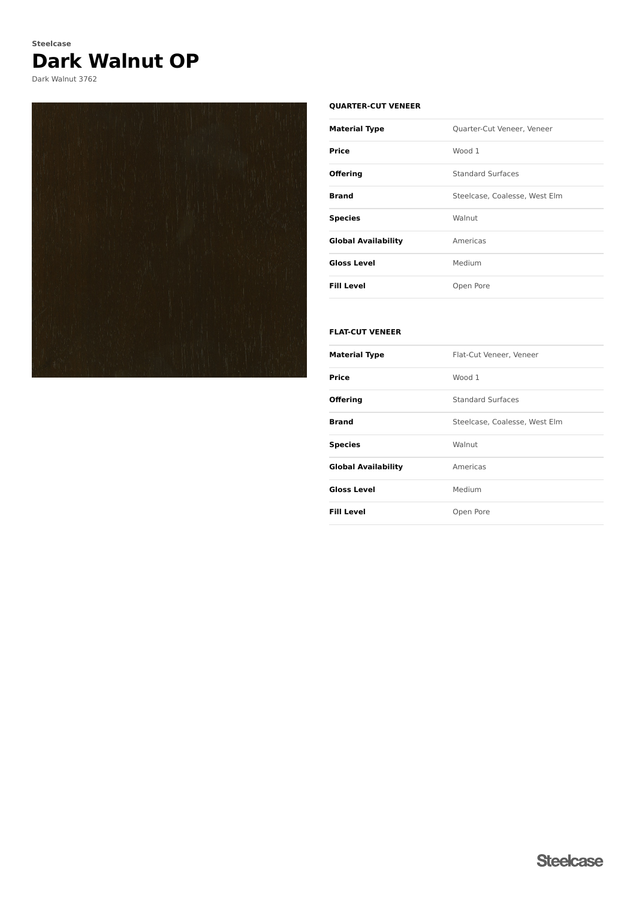# **Dark Walnut OP Steelcase**

Dark Walnut 3762



### **QUARTER-CUT VENEER**

| <b>Material Type</b>       | <b>Ouarter-Cut Veneer, Veneer</b> |
|----------------------------|-----------------------------------|
| Price                      | Wood 1                            |
| <b>Offering</b>            | <b>Standard Surfaces</b>          |
| <b>Brand</b>               | Steelcase, Coalesse, West Elm     |
| <b>Species</b>             | Walnut                            |
| <b>Global Availability</b> | Americas                          |
| <b>Gloss Level</b>         | Medium                            |
| <b>Fill Level</b>          | Open Pore                         |

### **FLAT-CUT VENEER**

| Material Type              | Flat-Cut Veneer, Veneer       |
|----------------------------|-------------------------------|
| Price                      | Wood 1                        |
| Offering                   | <b>Standard Surfaces</b>      |
| Brand                      | Steelcase, Coalesse, West Elm |
| <b>Species</b>             | Walnut                        |
| <b>Global Availability</b> | Americas                      |
| <b>Gloss Level</b>         | Medium                        |
| Fill Level                 | Open Pore                     |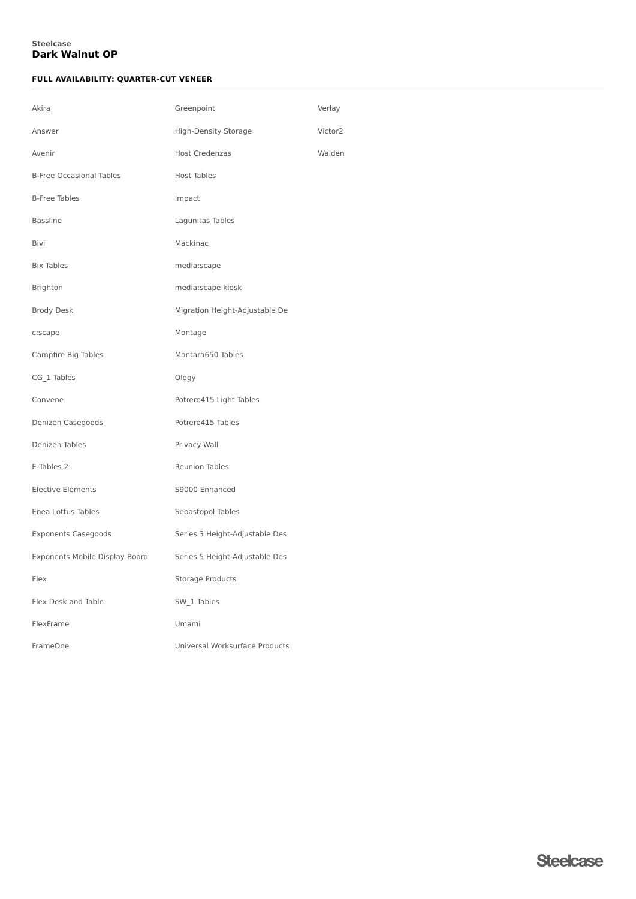### **Dark Walnut OP Steelcase**

### **FULL AVAILABILITY: QUARTER-CUT VENEER**

| Greenpoint                     | Verlay  |
|--------------------------------|---------|
| High-Density Storage           | Victor2 |
| <b>Host Credenzas</b>          | Walden  |
| <b>Host Tables</b>             |         |
| Impact                         |         |
| Lagunitas Tables               |         |
| Mackinac                       |         |
| media:scape                    |         |
| media:scape kiosk              |         |
| Migration Height-Adjustable De |         |
| Montage                        |         |
| Montara650 Tables              |         |
| Ology                          |         |
| Potrero415 Light Tables        |         |
| Potrero415 Tables              |         |
| Privacy Wall                   |         |
| Reunion Tables                 |         |
| S9000 Enhanced                 |         |
| Sebastopol Tables              |         |
| Series 3 Height-Adjustable Des |         |
| Series 5 Height-Adjustable Des |         |
| Storage Products               |         |
| SW_1 Tables                    |         |
| Umami                          |         |
| Universal Worksurface Products |         |
|                                |         |